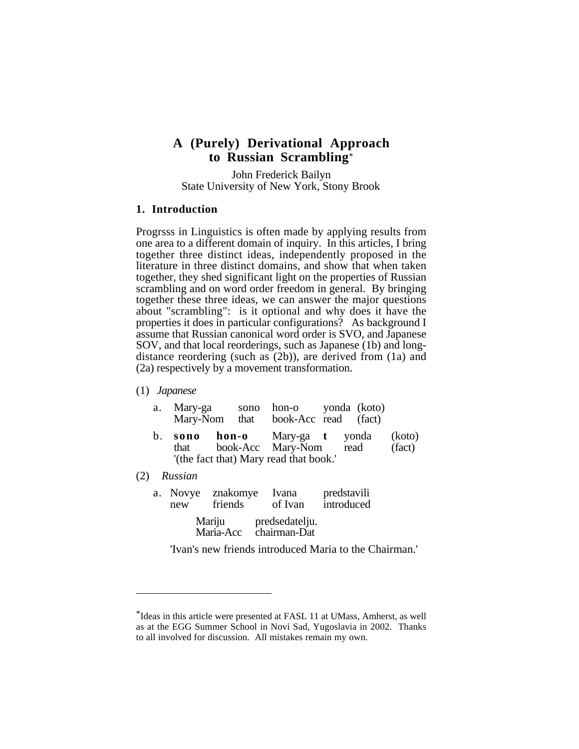# **A (Purely) Derivational Approach to Russian Scrambling**\*

John Frederick Bailyn State University of New York, Stony Brook

## **1. Introduction**

Progrsss in Linguistics is often made by applying results from one area to a different domain of inquiry. In this articles, I bring together three distinct ideas, independently proposed in the literature in three distinct domains, and show that when taken together, they shed significant light on the properties of Russian scrambling and on word order freedom in general. By bringing together these three ideas, we can answer the major questions about "scrambling": is it optional and why does it have the properties it does in particular configurations? As background I assume that Russian canonical word order is SVO, and Japanese SOV, and that local reorderings, such as Japanese (1b) and longdistance reordering (such as (2b)), are derived from (1a) and (2a) respectively by a movement transformation.

## (1) *Japanese*

| <b>hon-o</b> Mary-ga <b>t</b> yonda<br>sono<br>b <sub>1</sub><br>book-Acc Mary-Nom read<br>that<br>'(the fact that) Mary read that book.'<br>Russian<br>(2)<br>predstavili<br>znakomye<br>Ivana<br>a. Novye<br>introduced<br>friends<br>of Ivan<br>new | a. | Mary-ga |  | sono hon-o yonda (koto)<br>Mary-Nom that book-Acc read (fact) |                  |
|--------------------------------------------------------------------------------------------------------------------------------------------------------------------------------------------------------------------------------------------------------|----|---------|--|---------------------------------------------------------------|------------------|
|                                                                                                                                                                                                                                                        |    |         |  |                                                               | (koto)<br>(fact) |
|                                                                                                                                                                                                                                                        |    |         |  |                                                               |                  |
|                                                                                                                                                                                                                                                        |    |         |  |                                                               |                  |

Mariju predsedatelju.<br>Maria-Acc chairman-Dat chairman-Dat

'Ivan's new friends introduced Maria to the Chairman.'

<sup>\*</sup>Ideas in this article were presented at FASL 11 at UMass, Amherst, as well as at the EGG Summer School in Novi Sad, Yugoslavia in 2002. Thanks to all involved for discussion. All mistakes remain my own.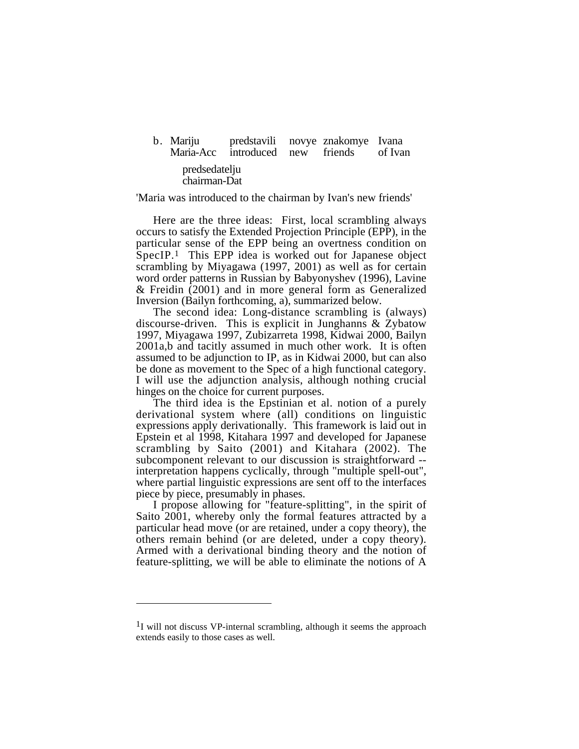| b. Mariju                     | predstavili novye znakomye Ivana<br>Maria-Acc introduced new friends of Ivan |  |  |
|-------------------------------|------------------------------------------------------------------------------|--|--|
| predsedatelju<br>chairman-Dat |                                                                              |  |  |
|                               |                                                                              |  |  |

'Maria was introduced to the chairman by Ivan's new friends'

Here are the three ideas: First, local scrambling always occurs to satisfy the Extended Projection Principle (EPP), in the particular sense of the EPP being an overtness condition on SpecIP.1 This EPP idea is worked out for Japanese object scrambling by Miyagawa (1997, 2001) as well as for certain word order patterns in Russian by Babyonyshev (1996), Lavine & Freidin (2001) and in more general form as Generalized Inversion (Bailyn forthcoming, a), summarized below.

The second idea: Long-distance scrambling is (always) discourse-driven. This is explicit in Junghanns & Zybatow 1997, Miyagawa 1997, Zubizarreta 1998, Kidwai 2000, Bailyn 2001a,b and tacitly assumed in much other work. It is often assumed to be adjunction to IP, as in Kidwai 2000, but can also be done as movement to the Spec of a high functional category. I will use the adjunction analysis, although nothing crucial hinges on the choice for current purposes.

The third idea is the Epstinian et al. notion of a purely derivational system where (all) conditions on linguistic expressions apply derivationally. This framework is laid out in Epstein et al 1998, Kitahara 1997 and developed for Japanese scrambling by Saito (2001) and Kitahara (2002). The subcomponent relevant to our discussion is straightforward - interpretation happens cyclically, through "multiple spell-out", where partial linguistic expressions are sent off to the interfaces piece by piece, presumably in phases.

I propose allowing for "feature-splitting", in the spirit of Saito 2001, whereby only the formal features attracted by a particular head move (or are retained, under a copy theory), the others remain behind (or are deleted, under a copy theory). Armed with a derivational binding theory and the notion of feature-splitting, we will be able to eliminate the notions of A

<sup>&</sup>lt;sup>1</sup>I will not discuss VP-internal scrambling, although it seems the approach extends easily to those cases as well.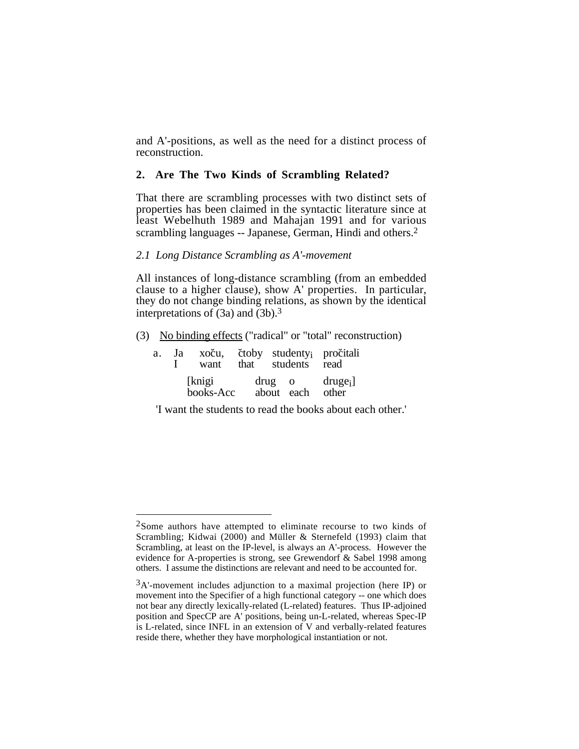and A'-positions, as well as the need for a distinct process of reconstruction.

# **2. Are The Two Kinds of Scrambling Related?**

That there are scrambling processes with two distinct sets of properties has been claimed in the syntactic literature since at least Webelhuth 1989 and Mahajan 1991 and for various scrambling languages -- Japanese, German, Hindi and others.<sup>2</sup>

# *2.1 Long Distance Scrambling as A'-movement*

All instances of long-distance scrambling (from an embedded clause to a higher clause), show A' properties. In particular, they do not change binding relations, as shown by the identical interpretations of (3a) and (3b).3

(3) No binding effects ("radical" or "total" reconstruction)

|  | want                | a. Ja xoču, čtoby studenty <sub>i</sub> pročitali<br>that students read |  |
|--|---------------------|-------------------------------------------------------------------------|--|
|  | [knigi<br>books-Acc | $drug \quad o \quad druge_i$<br>about each other                        |  |

'I want the students to read the books about each other.'

<sup>2</sup>Some authors have attempted to eliminate recourse to two kinds of Scrambling; Kidwai (2000) and Müller & Sternefeld (1993) claim that Scrambling, at least on the IP-level, is always an A'-process. However the evidence for A-properties is strong, see Grewendorf & Sabel 1998 among others. I assume the distinctions are relevant and need to be accounted for.

 $3A'$ -movement includes adjunction to a maximal projection (here IP) or movement into the Specifier of a high functional category -- one which does not bear any directly lexically-related (L-related) features. Thus IP-adjoined position and SpecCP are A' positions, being un-L-related, whereas Spec-IP is L-related, since INFL in an extension of V and verbally-related features reside there, whether they have morphological instantiation or not.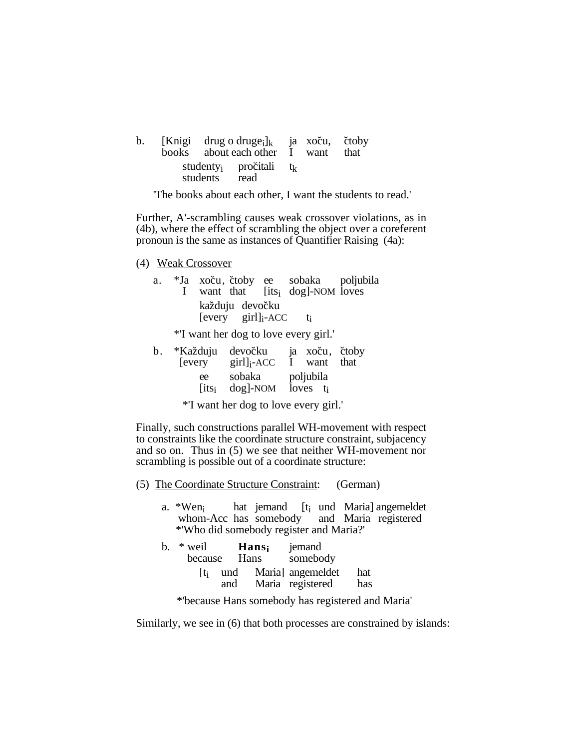| b. |               | [Knigi drug o druge <sub>i</sub> ] <sub>k</sub> ja xoču, čtoby<br>books about each other I want that |  |  |
|----|---------------|------------------------------------------------------------------------------------------------------|--|--|
|    | students read | studenty <sub>i</sub> pročitali t <sub>k</sub>                                                       |  |  |

'The books about each other, I want the students to read.'

Further, A'-scrambling causes weak crossover violations, as in (4b), where the effect of scrambling the object over a coreferent pronoun is the same as instances of Quantifier Raising (4a):

(4) Weak Crossover

| a. |  |                                                      | *Ja xoču, čtoby ee sobaka poljubila          |  |
|----|--|------------------------------------------------------|----------------------------------------------|--|
|    |  |                                                      | I want that [its <sub>i</sub> dog]-NOM loves |  |
|    |  | každuju devočku<br>$[every \quad girl]_i$ -ACC $t_i$ |                                              |  |
|    |  |                                                      | *'I want her dog to love every girl.'        |  |

| b. *Každuju devočku |                                                                                                                                                                                                                                                                                                   | ja xoču, čtoby |  |
|---------------------|---------------------------------------------------------------------------------------------------------------------------------------------------------------------------------------------------------------------------------------------------------------------------------------------------|----------------|--|
| [every]             | $\left[\frac{1}{2}$ and $\frac{1}{2}$ and $\frac{1}{2}$ and $\frac{1}{2}$ and $\frac{1}{2}$ and $\frac{1}{2}$ and $\frac{1}{2}$ and $\frac{1}{2}$ and $\frac{1}{2}$ and $\frac{1}{2}$ and $\frac{1}{2}$ and $\frac{1}{2}$ and $\frac{1}{2}$ and $\frac{1}{2}$ and $\frac{1}{2}$ and $\frac{1}{2}$ | I want that    |  |
| ee                  | sobaka poljubila                                                                                                                                                                                                                                                                                  |                |  |
| lits <sub>i</sub>   | $\log$ -NOM loves $t_i$                                                                                                                                                                                                                                                                           |                |  |

\*'I want her dog to love every girl.'

Finally, such constructions parallel WH-movement with respect to constraints like the coordinate structure constraint, subjacency and so on. Thus in (5) we see that neither WH-movement nor scrambling is possible out of a coordinate structure:

- (5) The Coordinate Structure Constraint: (German)
	- a. \*Wen<sub>i</sub> hat jemand [t<sub>i</sub> und Maria] angemeldet whom-Acc has somebody and Maria registered \*'Who did somebody register and Maria?'

| $b.$ * weil<br>because | Hans       | <b>Hans</b> | jemand<br>somebody                    |            |
|------------------------|------------|-------------|---------------------------------------|------------|
| $\mathbf{t}_i$         | und<br>and |             | Maria] angemeldet<br>Maria registered | hat<br>has |

\*'because Hans somebody has registered and Maria'

Similarly, we see in (6) that both processes are constrained by islands: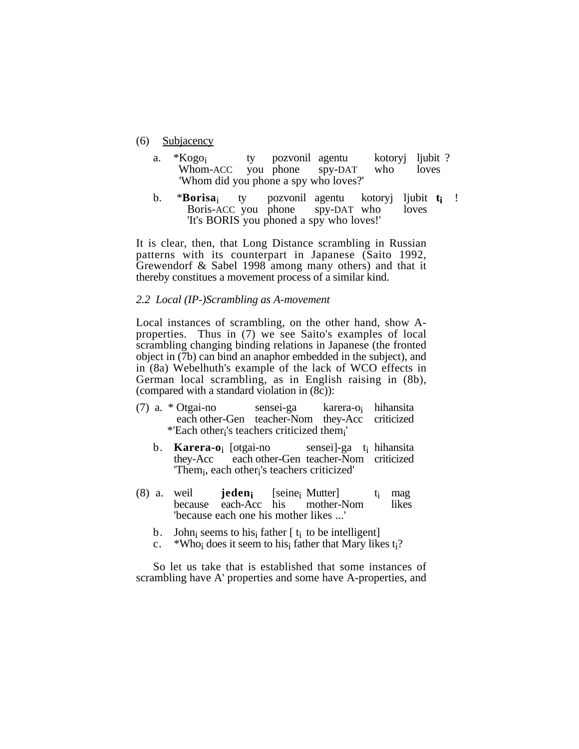- (6) Subjacency
	- a. \*Kogo<sub>i</sub> ty pozvonil agentu kotoryj ljubit ?<br>Whom-ACC you phone spy-DAT who loves you phone 'Whom did you phone a spy who loves?'
	- b. \***Borisa**i ty pozvonil agentu kotoryj ljubit **ti** ! Boris-ACC you phone 'It's BORIS you phoned a spy who loves!'

It is clear, then, that Long Distance scrambling in Russian patterns with its counterpart in Japanese (Saito 1992, Grewendorf & Sabel 1998 among many others) and that it thereby constitues a movement process of a similar kind.

# *2.2 Local (IP-)Scrambling as A-movement*

Local instances of scrambling, on the other hand, show Aproperties. Thus in (7) we see Saito's examples of local scrambling changing binding relations in Japanese (the fronted object in (7b) can bind an anaphor embedded in the subject), and in (8a) Webelhuth's example of the lack of WCO effects in German local scrambling, as in English raising in (8b), (compared with a standard violation in (8c)):

- (7) a. \* Otgai-no sensei-ga karera-o<sub>i</sub> hihansita<br>each other-Gen teacher-Nom they-Acc criticized each other-Gen teacher-Nom they-Acc \*'Each otheri's teachers criticized themi'
	- b. **Karera-o**<sub>i</sub> [otgai-no sensei]-ga t<sub>i</sub> hihansita<br>they-Acc each other-Gen teacher-Nom criticized each other-Gen teacher-Nom criticized 'Themi, each otheri's teachers criticized'
- (8) a. weil **jeden** [seine<sub>i</sub> Mutter] t<sub>i</sub> mag<br>because each-Acc his mother-Nom likes because each-Acc his 'because each one his mother likes ...'
	- b. John<sub>i</sub> seems to his<sub>i</sub> father [ $t_i$  to be intelligent] c. \*Who<sub>i</sub> does it seem to hisi father that Mary lik
	- \*Who<sub>i</sub> does it seem to his<sub>i</sub> father that Mary likes t<sub>i</sub>?

So let us take that is established that some instances of scrambling have A' properties and some have A-properties, and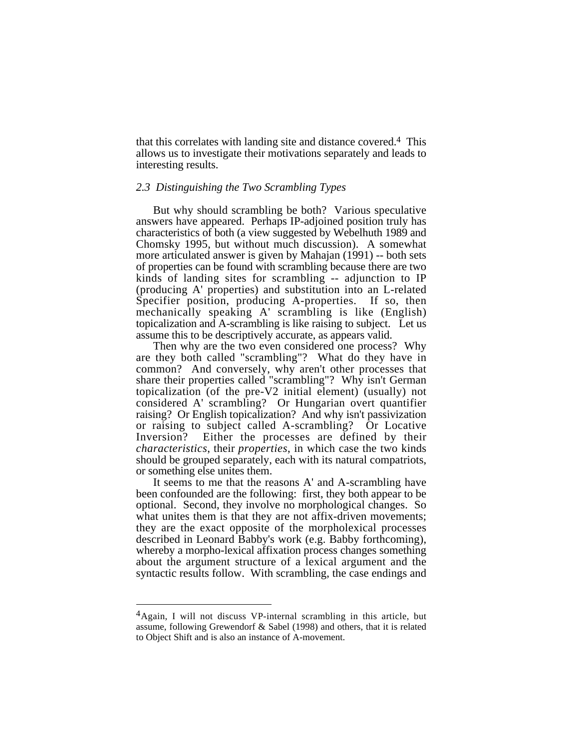that this correlates with landing site and distance covered.4 This allows us to investigate their motivations separately and leads to interesting results.

#### *2.3 Distinguishing the Two Scrambling Types*

But why should scrambling be both? Various speculative answers have appeared. Perhaps IP-adjoined position truly has characteristics of both (a view suggested by Webelhuth 1989 and Chomsky 1995, but without much discussion). A somewhat more articulated answer is given by Mahajan (1991) -- both sets of properties can be found with scrambling because there are two kinds of landing sites for scrambling -- adjunction to IP (producing A' properties) and substitution into an L-related Specifier position, producing A-properties. If so, then mechanically speaking A' scrambling is like (English) topicalization and A-scrambling is like raising to subject. Let us assume this to be descriptively accurate, as appears valid.

Then why are the two even considered one process? Why are they both called "scrambling"? What do they have in common? And conversely, why aren't other processes that share their properties called "scrambling"? Why isn't German topicalization (of the pre-V2 initial element) (usually) not considered A' scrambling? Or Hungarian overt quantifier raising? Or English topicalization? And why isn't passivization or raising to subject called A-scrambling? Or Locative Inversion? Either the processes are defined by their *characteristics*, their *properties*, in which case the two kinds should be grouped separately, each with its natural compatriots, or something else unites them.

It seems to me that the reasons A' and A-scrambling have been confounded are the following: first, they both appear to be optional. Second, they involve no morphological changes. So what unites them is that they are not affix-driven movements; they are the exact opposite of the morpholexical processes described in Leonard Babby's work (e.g. Babby forthcoming), whereby a morpho-lexical affixation process changes something about the argument structure of a lexical argument and the syntactic results follow. With scrambling, the case endings and

<sup>4</sup>Again, I will not discuss VP-internal scrambling in this article, but assume, following Grewendorf & Sabel (1998) and others, that it is related to Object Shift and is also an instance of A-movement.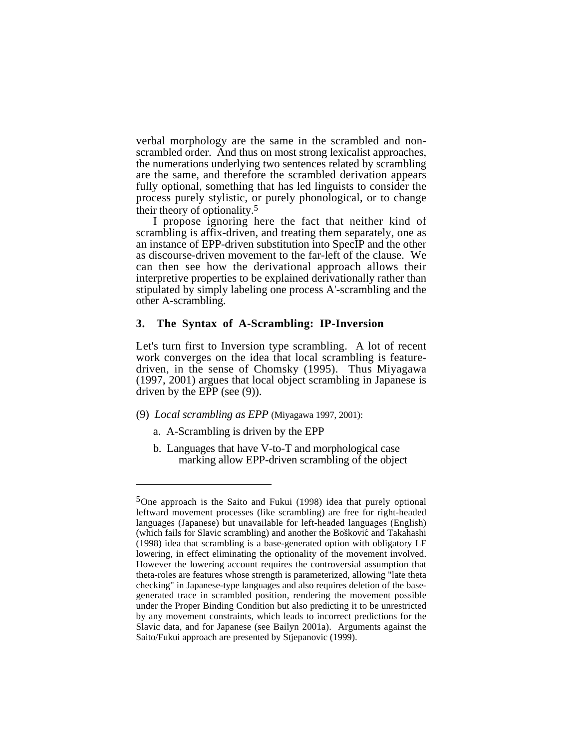verbal morphology are the same in the scrambled and nonscrambled order. And thus on most strong lexicalist approaches, the numerations underlying two sentences related by scrambling are the same, and therefore the scrambled derivation appears fully optional, something that has led linguists to consider the process purely stylistic, or purely phonological, or to change their theory of optionality.5

I propose ignoring here the fact that neither kind of scrambling is affix-driven, and treating them separately, one as an instance of EPP-driven substitution into SpecIP and the other as discourse-driven movement to the far-left of the clause. We can then see how the derivational approach allows their interpretive properties to be explained derivationally rather than stipulated by simply labeling one process A'-scrambling and the other A-scrambling.

#### **3. The Syntax of A-Scrambling: IP-Inversion**

Let's turn first to Inversion type scrambling. A lot of recent work converges on the idea that local scrambling is featuredriven, in the sense of Chomsky (1995). Thus Miyagawa (1997, 2001) argues that local object scrambling in Japanese is driven by the EPP (see (9)).

- (9) *Local scrambling as EPP* (Miyagawa 1997, 2001):
	- a. A-Scrambling is driven by the EPP
	- b. Languages that have V-to-T and morphological case marking allow EPP-driven scrambling of the object

<sup>5</sup>One approach is the Saito and Fukui (1998) idea that purely optional leftward movement processes (like scrambling) are free for right-headed languages (Japanese) but unavailable for left-headed languages (English) (which fails for Slavic scrambling) and another the Bošković and Takahashi (1998) idea that scrambling is a base-generated option with obligatory LF lowering, in effect eliminating the optionality of the movement involved. However the lowering account requires the controversial assumption that theta-roles are features whose strength is parameterized, allowing "late theta checking" in Japanese-type languages and also requires deletion of the basegenerated trace in scrambled position, rendering the movement possible under the Proper Binding Condition but also predicting it to be unrestricted by any movement constraints, which leads to incorrect predictions for the Slavic data, and for Japanese (see Bailyn 2001a). Arguments against the Saito/Fukui approach are presented by Stjepanovic (1999).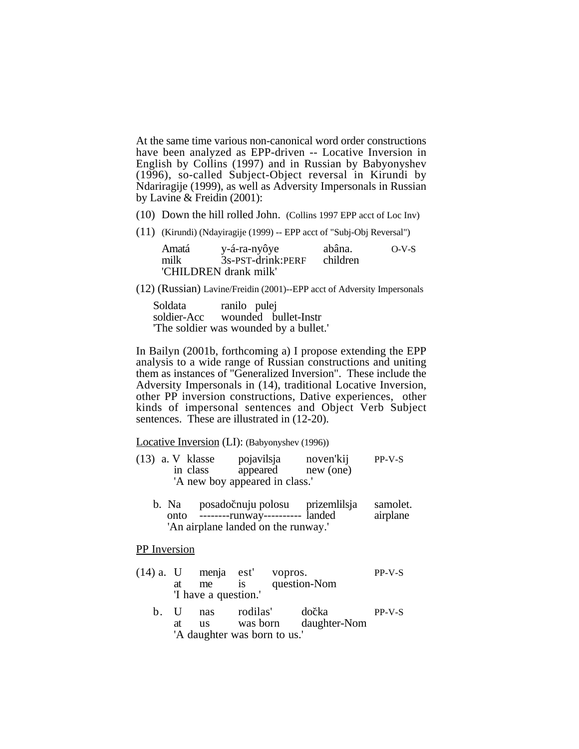At the same time various non-canonical word order constructions have been analyzed as EPP-driven -- Locative Inversion in English by Collins (1997) and in Russian by Babyonyshev (1996), so-called Subject-Object reversal in Kirundi by Ndariragije (1999), as well as Adversity Impersonals in Russian by Lavine & Freidin (2001):

- (10) Down the hill rolled John. (Collins 1997 EPP acct of Loc Inv)
- (11) (Kirundi) (Ndayiragije (1999) -- EPP acct of "Subj-Obj Reversal")

Amatá y-á-ra-nyôye abâna. O-V-S  $3s$ -PST-drink:PERF 'CHILDREN drank milk'

(12) (Russian) Lavine/Freidin (2001)--EPP acct of Adversity Impersonals

Soldata ranilo pulej soldier-Acc wounded bullet-Instr 'The soldier was wounded by a bullet.'

In Bailyn (2001b, forthcoming a) I propose extending the EPP analysis to a wide range of Russian constructions and uniting them as instances of "Generalized Inversion". These include the Adversity Impersonals in (14), traditional Locative Inversion, other PP inversion constructions, Dative experiences, other kinds of impersonal sentences and Object Verb Subject sentences. These are illustrated in  $(12-20)$ .

Locative Inversion (LI): (Babyonyshev (1996))

- (13) a. V klasse pojavilsja noven'kij PP-V-S appeared new (one) 'A new boy appeared in class.'
	- b. Na posadočnuju polosu prizemlilsja samolet. onto --------runway---------- landed airplane 'An airplane landed on the runway.'

PP Inversion

- (14) a. U menja est' vopros. PP-V-S at me is question-Nom 'I have a question.'
	- b. U nas rodilas' dočka PP-V-S<br>at us was born daughter-Nom at us was born daughter-Nom 'A daughter was born to us.'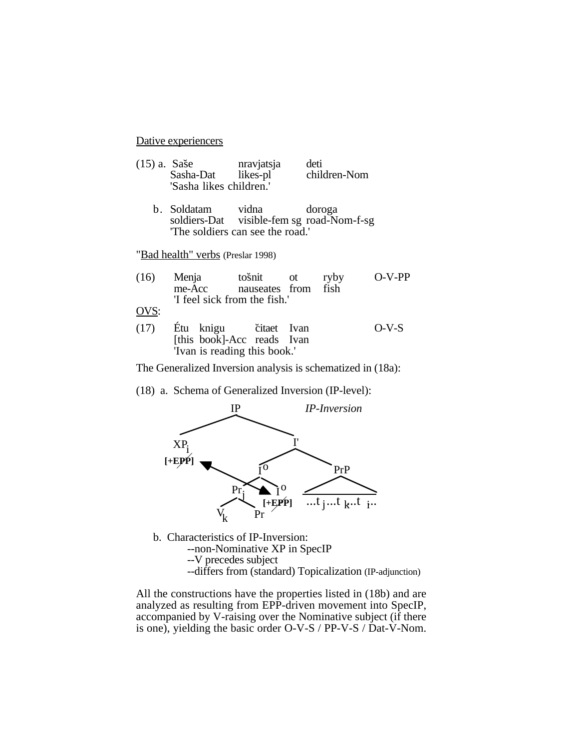Dative experiencers

| $(15)$ a. Sase |                         | nravjatsja | deti         |
|----------------|-------------------------|------------|--------------|
|                | Sasha-Dat               | likes-pl   | children-Nom |
|                | 'Sasha likes children.' |            |              |

b. Soldatam vidna doroga<br>soldiers-Dat visible-fem sg road-No visible-fem sg road-Nom-f-sg 'The soldiers can see the road.'

"Bad health" verbs (Preslar 1998)

| (16) | Menja  | tošnit ot                    | ryby | $O-V-PP$ |
|------|--------|------------------------------|------|----------|
|      | me-Acc | nauseates from fish          |      |          |
|      |        | 'I feel sick from the fish.' |      |          |
| OVS: |        |                              |      |          |
| (17) |        | Étu knigu citaet Ivan        |      | $O-V-S$  |
|      |        | [this book]-Acc reads Ivan   |      |          |
|      |        | 'Ivan is reading this book.' |      |          |

The Generalized Inversion analysis is schematized in (18a):

(18) a. Schema of Generalized Inversion (IP-level):



b. Characteristics of IP-Inversion: --non-Nominative XP in SpecIP --V precedes subject --differs from (standard) Topicalization (IP-adjunction)

All the constructions have the properties listed in (18b) and are analyzed as resulting from EPP-driven movement into SpecIP, accompanied by V-raising over the Nominative subject (if there is one), yielding the basic order O-V-S / PP-V-S / Dat-V-Nom.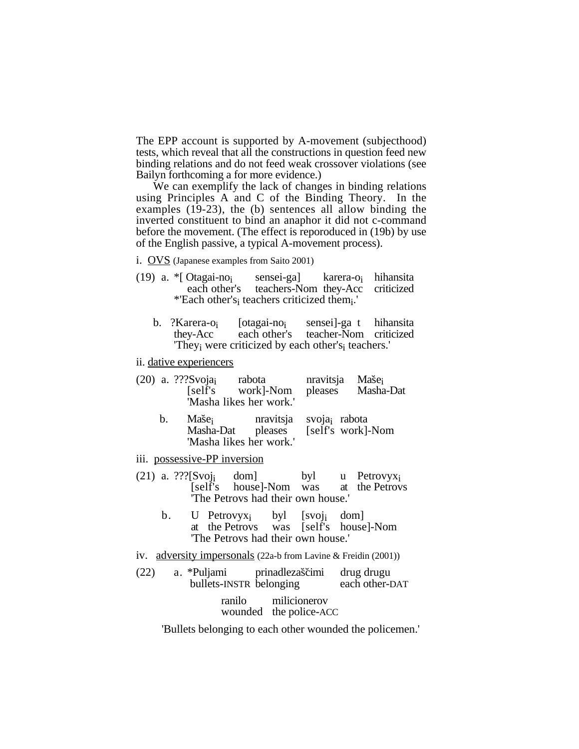The EPP account is supported by A-movement (subjecthood) tests, which reveal that all the constructions in question feed new binding relations and do not feed weak crossover violations (see Bailyn forthcoming a for more evidence.)

We can exemplify the lack of changes in binding relations using Principles A and C of the Binding Theory. In the examples (19-23), the (b) sentences all allow binding the inverted constituent to bind an anaphor it did not c-command before the movement. (The effect is reporoduced in (19b) by use of the English passive, a typical A-movement process).

- i. OVS (Japanese examples from Saito 2001)
- (19) a.  $*$ [ Otagai-no<sub>i</sub> sensei-ga] karera-o<sub>i</sub> hihansita each other's teachers-Nom they-Acc criticized teachers-Nom they-Acc \*'Each other'si teachers criticized themi.'
	- b. ?Karera-o<sub>i</sub> [otagai-no<sub>i</sub> sensei]-ga t hihansita<br>thev-Acc each other's teacher-Nom criticized teacher-Nom criticized 'Theyi were criticized by each other'si teachers.'
- ii. dative experiencers
- (20) a. ???Svoja<sub>i</sub> rabota nravitsja Maše<sub>i</sub><br>
[self's work]-Nom pleases Masha-Dat work]-Nom 'Masha likes her work.'
	- b. Maše<sub>i</sub> nravitsja svoja<sub>i</sub> rabota<br>Masha-Dat pleases [self's work] [self's work]-Nom 'Masha likes her work.'
- iii. possessive-PP inversion
- (21) a. ???[Svoj<sub>i</sub> dom] byl u Petrovyx<sub>i</sub> [self's house]-Nom was at the Petrov at the Petrovs 'The Petrovs had their own house.'
	- b. U Petrovyx<sub>i</sub> byl [svoj<sub>i</sub> dom]<br>at the Petrovs was [self's house was [self's house]-Nom 'The Petrovs had their own house.'
- iv. adversity impersonals (22a-b from Lavine & Freidin (2001))
- (22) a. \*Puljami prinadlezaščimi drug drugu<br>bullets-INSTR belonging each other-DAT bullets-INSTR belonging ranilo milicionerov wounded the police-ACC

'Bullets belonging to each other wounded the policemen.'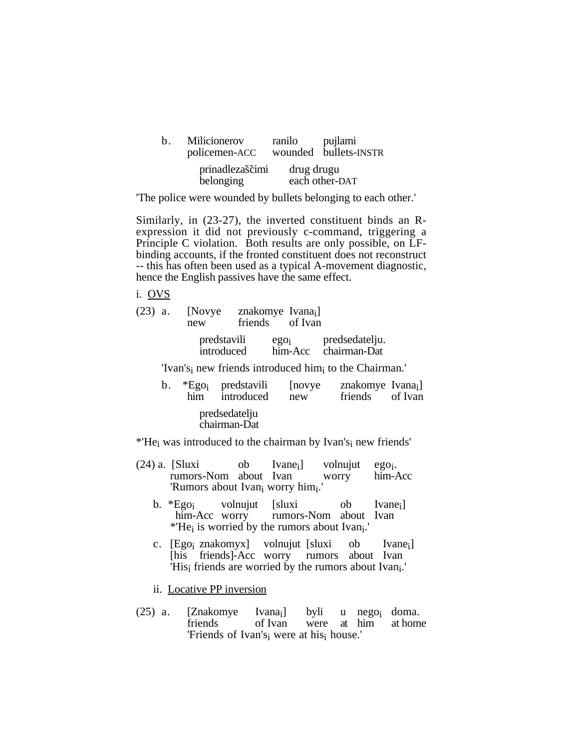| $h_{\cdot}$ | Milicionerov<br>policemen-ACC | ranilo     | pujlami<br>wounded bullets-INSTR |
|-------------|-------------------------------|------------|----------------------------------|
|             | prinadlezaščimi<br>belonging  | drug drugu | each other-DAT                   |

'The police were wounded by bullets belonging to each other.'

Similarly, in (23-27), the inverted constituent binds an Rexpression it did not previously c-command, triggering a Principle C violation. Both results are only possible, on LFbinding accounts, if the fronted constituent does not reconstruct -- this has often been used as a typical A-movement diagnostic, hence the English passives have the same effect.

i. OVS

|               | new | (23) a. [Novye znakomye Ivana <sub>i</sub> ]    | friends of Ivan |                                                                                                                   |  |
|---------------|-----|-------------------------------------------------|-----------------|-------------------------------------------------------------------------------------------------------------------|--|
|               |     |                                                 |                 | predstavili ego <sub>i</sub> predsedatelju.<br>introduced him-Acc chairman-Dat<br>ego <sub>i</sub> predsedatelju. |  |
|               |     |                                                 |                 | 'Ivan's <sub>i</sub> new friends introduced him <sub>i</sub> to the Chairman.'                                    |  |
| $\mathbf b$ . |     | *Ego <sub>i</sub> predstavili<br>him introduced | [novye]<br>new  | znakomye Ivana <sub>i</sub> ]<br>friends of Ivan                                                                  |  |
|               |     |                                                 |                 |                                                                                                                   |  |

predsedatelju chairman-Dat

\*'Hei was introduced to the chairman by Ivan'si new friends'

- (24) a. [Sluxi ob Ivane<sub>i</sub>] volnujut ego<sub>i</sub>.<br>rumors-Nom about Ivan worry him-Acc rumors-Nom about Ivan 'Rumors about Ivan<sub>i</sub> worry him<sub>i</sub>.'
	- b. \*Ego<sub>i</sub> volnujut [sluxi ob Ivane<sub>i</sub>]<br>him-Acc worry rumors-Nom about Ivan rumors-Nom about Ivan \*'Hei is worried by the rumors about Ivani.'
	- c. [Ego<sub>i</sub> znakomyx] volnujut [sluxi ob Ivane<sub>i</sub>] [his friends]-Acc worry rumors about Ivan 'His<sub>i</sub> friends are worried by the rumors about Ivan<sub>i</sub>.'
	- ii. Locative PP inversion
- (25) a. [Znakomye Ivana<sub>i</sub>] byli u nego<sub>i</sub> doma.<br>
friends of Ivan were at him at home at him 'Friends of Ivan'si were at hisi house.'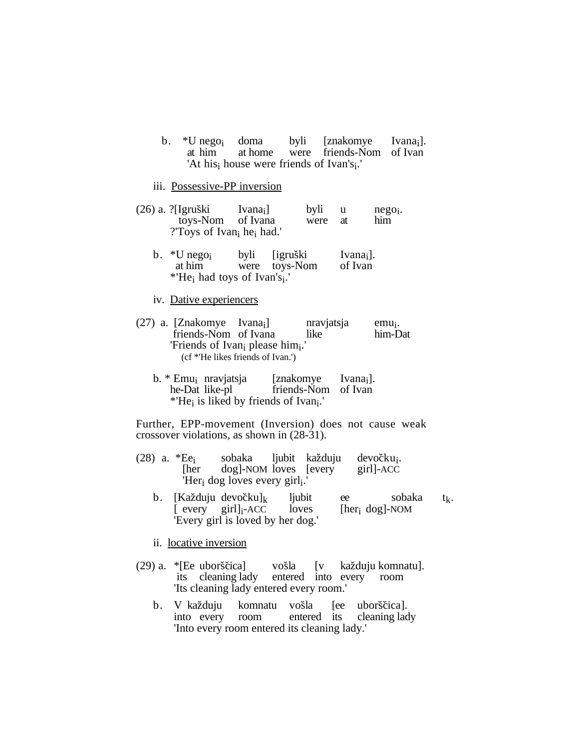b. \*U nego<sub>i</sub> doma byli [znakomye Ivana<sub>i</sub>].<br>at him at home were friends-Nom of Ivan were friends-Nom of Ivan 'At his<sub>i</sub> house were friends of Ivan's<sub>i</sub>.'

## iii. Possessive-PP inversion

- (26) a. ?[Igruški Ivana<sub>i</sub>] byli u nego<sub>i</sub>.<br>toys-Nom of Ivana were at him toys-Nom ?'Toys of Ivani hei had.'
	- b.  $*U$  nego<sub>i</sub> byli [igruški Ivana<sub>i</sub>].<br>at him were toys-Nom of Ivan were toys-Nom \*'Hei had toys of Ivan'si.'

#### iv. Dative experiencers

- (27) a. [Znakomye Ivana<sub>i</sub>] nravjatsja emu<sub>i</sub>.<br>
friends-Nom of Ivana like him-Dat friends-Nom of Ivana 'Friends of Ivan<sub>i</sub> please him<sub>i</sub>.' (cf \*'He likes friends of Ivan.')
	- b. \* Emu<sub>i</sub> nravjatsja [znakomye Ivana<sub>i</sub>].<br>he-Dat like-pl friends-Nom of Ivan friends-Nom of Ivan \*'Hei is liked by friends of Ivani.'

Further, EPP-movement (Inversion) does not cause weak crossover violations, as shown in (28-31).

- (28) a. \*Ee<sub>i</sub> sobaka ljubit každuju devočku<sub>i</sub>. [her dog]-NOM loves [every girl]-ACC 'Her<sub>i</sub> dog loves every girl<sub>i</sub>.'
	- b. [Každuju devočku]<sub>k</sub> ljubit ee sobaka t<sub>k</sub>.<br>[every girl]<sub>i</sub>-ACC loves [her<sub>i</sub> dog]-NOM  $[$  every girl] $_i$ -ACC 'Every girl is loved by her dog.'

ii. locative inversion

- (29) a. \*[Ee uborščica] vošla [v každuju komnatu]. its cleaning lady entered into every room 'Its cleaning lady entered every room.'
	- b. V každuju komnatu vošla [ee uborščica]. into every room entered its cleaning lady 'Into every room entered its cleaning lady.'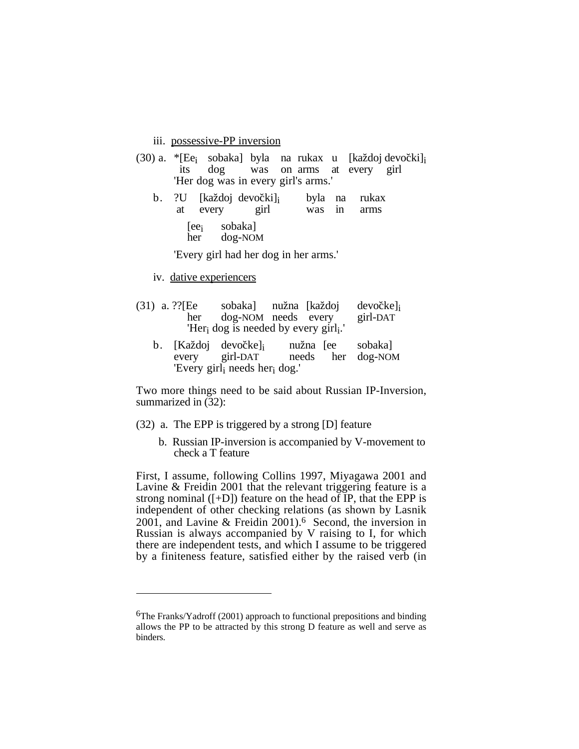iii. possessive-PP inversion

|  |                                     |  |  | $(30)$ a. *[Ee <sub>i</sub> sobaka] byla na rukax u [každoj devočki] |
|--|-------------------------------------|--|--|----------------------------------------------------------------------|
|  | its dog was on arms at every girl   |  |  |                                                                      |
|  | 'Her dog was in every girl's arms.' |  |  |                                                                      |

- b. ?U [každoj devočki]<sub>i</sub> byla na rukax at every girl was in arms was in
	- [ee<sub>i</sub> sobaka]<br>her dog-NOI dog-NOM

'Every girl had her dog in her arms.'

- iv. dative experiencers
- (31) a. ??[Ee sobaka] nužna [každoj devočke] $\text{i}$  her dog-NOM needs every girl-DAT dog-NOM needs every 'Heri dog is needed by every girli.'
	- b. [Každoj devočke]<sub>i</sub> nužna [ee sobaka]<br>every girl-DAT needs her dog-NOI dog-NOM 'Every girli needs heri dog.'

Two more things need to be said about Russian IP-Inversion, summarized in (32):

- (32) a. The EPP is triggered by a strong [D] feature
	- b. Russian IP-inversion is accompanied by V-movement to check a T feature

First, I assume, following Collins 1997, Miyagawa 2001 and Lavine & Freidin 2001 that the relevant triggering feature is a strong nominal  $([-D])$  feature on the head of IP, that the EPP is independent of other checking relations (as shown by Lasnik 2001, and Lavine & Freidin 2001).6 Second, the inversion in Russian is always accompanied by V raising to I, for which there are independent tests, and which I assume to be triggered by a finiteness feature, satisfied either by the raised verb (in

<sup>&</sup>lt;sup>6</sup>The Franks/Yadroff (2001) approach to functional prepositions and binding allows the PP to be attracted by this strong D feature as well and serve as binders.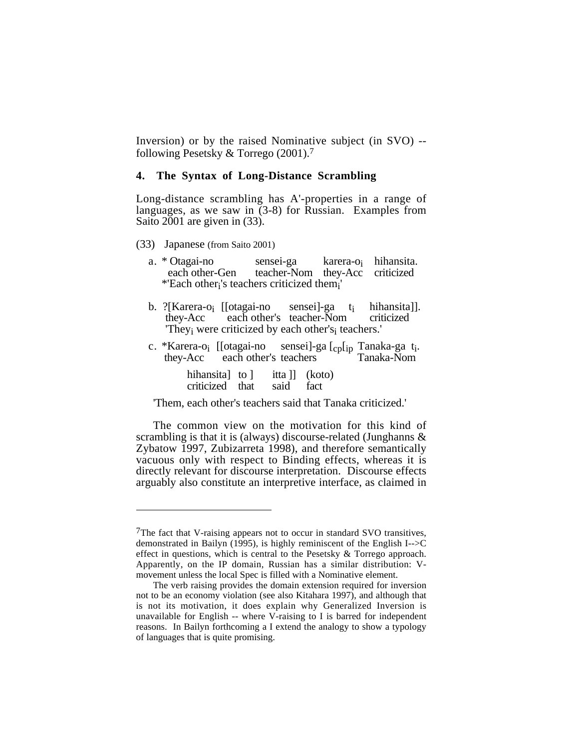Inversion) or by the raised Nominative subject (in SVO) - following Pesetsky & Torrego (2001).7

#### **4. The Syntax of Long-Distance Scrambling**

Long-distance scrambling has A'-properties in a range of languages, as we saw in (3-8) for Russian. Examples from Saito 2001 are given in (33).

- (33) Japanese (from Saito 2001)
	- a. \* Otagai-no sensei-ga karera-oi hihansita. teacher-Nom they-Acc \*'Each otheri's teachers criticized themi'
	- b. ?[Karera-o<sub>i</sub> [[otagai-no sensei]-ga t<sub>i</sub> hihansita]].<br>they-Acc each other's teacher-Nom criticized each other's teacher-Nom 'Theyi were criticized by each other'si teachers.'
	- c. \*Karera-o<sub>i</sub> [[otagai-no sensei]-ga [cp[ip Tanaka-ga t<sub>i</sub>. they-Acc each other's teachers Tanaka-Nom each other's teachers

| hihansita] to 1 |      | itta ]] (koto) |
|-----------------|------|----------------|
| criticized that | said | fact           |

'Them, each other's teachers said that Tanaka criticized.'

The common view on the motivation for this kind of scrambling is that it is (always) discourse-related (Junghanns & Zybatow 1997, Zubizarreta 1998), and therefore semantically vacuous only with respect to Binding effects, whereas it is directly relevant for discourse interpretation. Discourse effects arguably also constitute an interpretive interface, as claimed in

<sup>&</sup>lt;sup>7</sup>The fact that V-raising appears not to occur in standard SVO transitives, demonstrated in Bailyn (1995), is highly reminiscent of the English I-->C effect in questions, which is central to the Pesetsky & Torrego approach. Apparently, on the IP domain, Russian has a similar distribution: Vmovement unless the local Spec is filled with a Nominative element.

The verb raising provides the domain extension required for inversion not to be an economy violation (see also Kitahara 1997), and although that is not its motivation, it does explain why Generalized Inversion is unavailable for English  $-$  where V-raising to I is barred for independent reasons. In Bailyn forthcoming a I extend the analogy to show a typology of languages that is quite promising.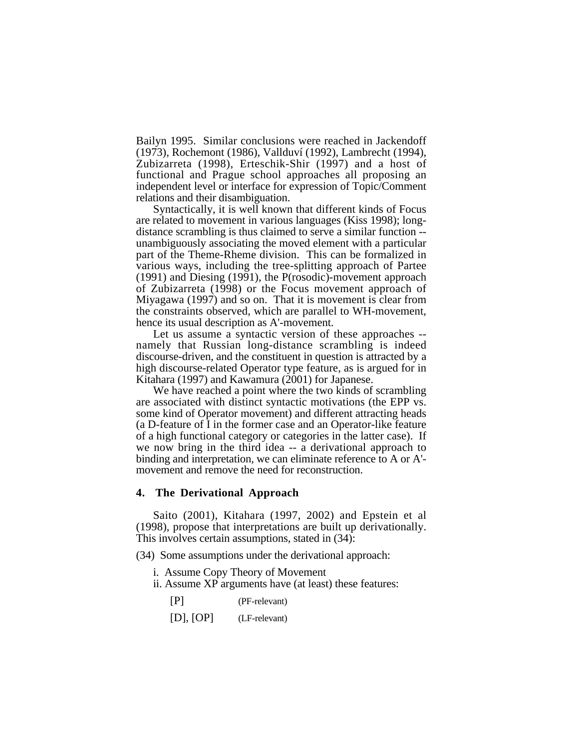Bailyn 1995. Similar conclusions were reached in Jackendoff (1973), Rochemont (1986), Vallduví (1992), Lambrecht (1994), Zubizarreta (1998), Erteschik-Shir (1997) and a host of functional and Prague school approaches all proposing an independent level or interface for expression of Topic/Comment relations and their disambiguation.

Syntactically, it is well known that different kinds of Focus are related to movement in various languages (Kiss 1998); longdistance scrambling is thus claimed to serve a similar function - unambiguously associating the moved element with a particular part of the Theme-Rheme division. This can be formalized in various ways, including the tree-splitting approach of Partee (1991) and Diesing (1991), the P(rosodic)-movement approach of Zubizarreta (1998) or the Focus movement approach of Miyagawa (1997) and so on. That it is movement is clear from the constraints observed, which are parallel to WH-movement, hence its usual description as A'-movement.

Let us assume a syntactic version of these approaches - namely that Russian long-distance scrambling is indeed discourse-driven, and the constituent in question is attracted by a high discourse-related Operator type feature, as is argued for in Kitahara (1997) and Kawamura (2001) for Japanese.

We have reached a point where the two kinds of scrambling are associated with distinct syntactic motivations (the EPP vs. some kind of Operator movement) and different attracting heads (a D-feature of I in the former case and an Operator-like feature of a high functional category or categories in the latter case). If we now bring in the third idea -- a derivational approach to binding and interpretation, we can eliminate reference to A or A' movement and remove the need for reconstruction.

## **4. The Derivational Approach**

Saito (2001), Kitahara (1997, 2002) and Epstein et al (1998), propose that interpretations are built up derivationally. This involves certain assumptions, stated in (34):

(34) Some assumptions under the derivational approach:

- i. Assume Copy Theory of Movement
- ii. Assume XP arguments have (at least) these features:

[P] (PF-relevant)

[D], [OP] (LF-relevant)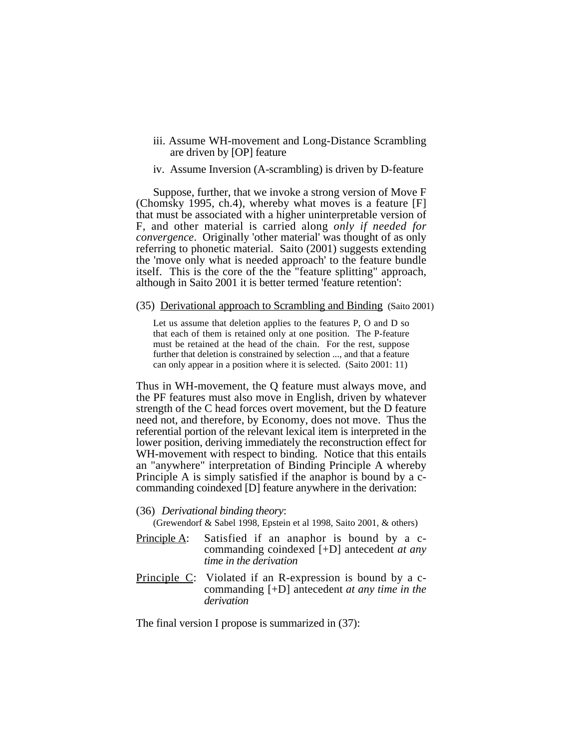- iii. Assume WH-movement and Long-Distance Scrambling are driven by [OP] feature
- iv. Assume Inversion (A-scrambling) is driven by D-feature

Suppose, further, that we invoke a strong version of Move F (Chomsky 1995, ch.4), whereby what moves is a feature [F] that must be associated with a higher uninterpretable version of F, and other material is carried along *only if needed for convergence*. Originally 'other material' was thought of as only referring to phonetic material. Saito (2001) suggests extending the 'move only what is needed approach' to the feature bundle itself. This is the core of the the "feature splitting" approach, although in Saito 2001 it is better termed 'feature retention':

(35) Derivational approach to Scrambling and Binding (Saito 2001)

Let us assume that deletion applies to the features P, O and D so that each of them is retained only at one position. The P-feature must be retained at the head of the chain. For the rest, suppose further that deletion is constrained by selection ..., and that a feature can only appear in a position where it is selected. (Saito 2001: 11)

Thus in WH-movement, the Q feature must always move, and the PF features must also move in English, driven by whatever strength of the C head forces overt movement, but the D feature need not, and therefore, by Economy, does not move. Thus the referential portion of the relevant lexical item is interpreted in the lower position, deriving immediately the reconstruction effect for WH-movement with respect to binding. Notice that this entails an "anywhere" interpretation of Binding Principle A whereby Principle A is simply satisfied if the anaphor is bound by a ccommanding coindexed [D] feature anywhere in the derivation:

(36) *Derivational binding theory*:

(Grewendorf & Sabel 1998, Epstein et al 1998, Saito 2001, & others)

- Principle A: Satisfied if an anaphor is bound by a ccommanding coindexed [+D] antecedent *at any time in the derivation*
- Principle C: Violated if an R-expression is bound by a ccommanding [+D] antecedent *at any time in the derivation*

The final version I propose is summarized in (37):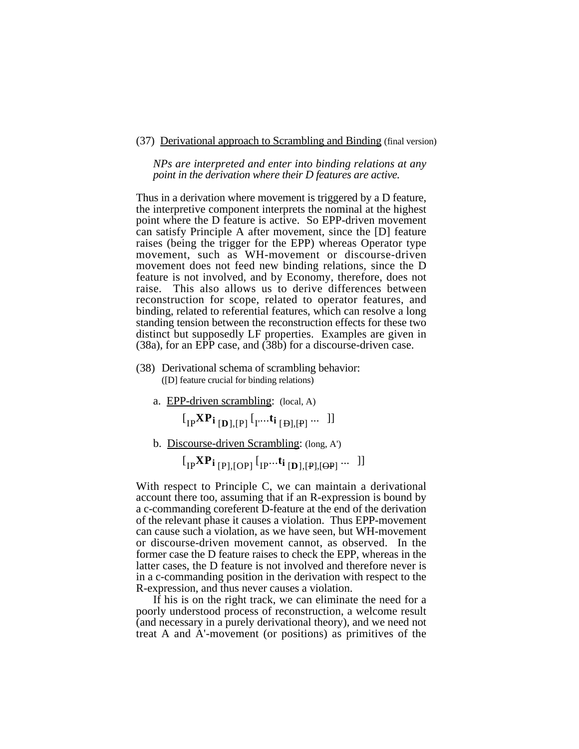(37) Derivational approach to Scrambling and Binding (final version)

*NPs are interpreted and enter into binding relations at any point in the derivation where their D features are active.*

Thus in a derivation where movement is triggered by a D feature, the interpretive component interprets the nominal at the highest point where the D feature is active. So EPP-driven movement can satisfy Principle A after movement, since the [D] feature raises (being the trigger for the EPP) whereas Operator type movement, such as WH-movement or discourse-driven movement does not feed new binding relations, since the D feature is not involved, and by Economy, therefore, does not raise. This also allows us to derive differences between reconstruction for scope, related to operator features, and binding, related to referential features, which can resolve a long standing tension between the reconstruction effects for these two distinct but supposedly LF properties. Examples are given in (38a), for an EPP case, and (38b) for a discourse-driven case.

- (38) Derivational schema of scrambling behavior: ([D] feature crucial for binding relations)
	- a. EPP-driven scrambling: (local, A)

 $\left[\prod_{IP} XP_{i} \right]_{, [P]} \left[\prod_{I'} \ldots t_{i} \right]_{, [P]} \ldots \quad \right]$ 

b. Discourse-driven Scrambling: (long, A')

 $\left[\begin{matrix} \text{I}_{\text{IP}}{\bf{X}}{\bf{P_i}} \end{matrix}\right]$   $\left[\begin{matrix} \text{I}_{\text{P}}{\bf{P_i}} \end{matrix}\right]$   $\left[\begin{matrix} \text{I}_{\text{P}}{\bf{P_i}} \end{matrix}\right]$  ...  $\left[\begin{matrix} \text{I}_{\text{P}}{\bf{P_i}} \end{matrix}\right]$ 

With respect to Principle C, we can maintain a derivational account there too, assuming that if an R-expression is bound by a c-commanding coreferent D-feature at the end of the derivation of the relevant phase it causes a violation. Thus EPP-movement can cause such a violation, as we have seen, but WH-movement or discourse-driven movement cannot, as observed. In the former case the D feature raises to check the EPP, whereas in the latter cases, the D feature is not involved and therefore never is in a c-commanding position in the derivation with respect to the R-expression, and thus never causes a violation.

If his is on the right track, we can eliminate the need for a poorly understood process of reconstruction, a welcome result (and necessary in a purely derivational theory), and we need not treat A and A'-movement (or positions) as primitives of the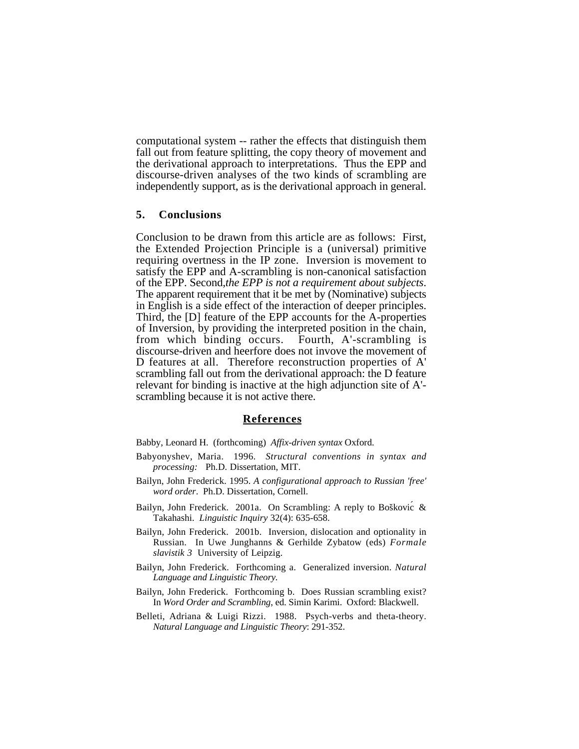computational system -- rather the effects that distinguish them fall out from feature splitting, the copy theory of movement and the derivational approach to interpretations. Thus the EPP and discourse-driven analyses of the two kinds of scrambling are independently support, as is the derivational approach in general.

#### **5. Conclusions**

Conclusion to be drawn from this article are as follows: First, the Extended Projection Principle is a (universal) primitive requiring overtness in the IP zone. Inversion is movement to satisfy the EPP and A-scrambling is non-canonical satisfaction of the EPP. Second,*the EPP is not a requirement about subjects*. The apparent requirement that it be met by (Nominative) subjects in English is a side effect of the interaction of deeper principles. Third, the [D] feature of the EPP accounts for the A-properties of Inversion, by providing the interpreted position in the chain, from which binding occurs. Fourth, A'-scrambling is discourse-driven and heerfore does not invove the movement of D features at all. Therefore reconstruction properties of A' scrambling fall out from the derivational approach: the D feature relevant for binding is inactive at the high adjunction site of A' scrambling because it is not active there.

#### **References**

Babby, Leonard H. (forthcoming) *Affix-driven syntax* Oxford.

- Babyonyshev, Maria. 1996. *Structural conventions in syntax and processing:* Ph.D. Dissertation, MIT.
- Bailyn, John Frederick. 1995. *A configurational approach to Russian 'free' word order*. Ph.D. Dissertation, Cornell.
- Bailyn, John Frederick. 2001a. On Scrambling: A reply to Boškovic & Takahashi. *Linguistic Inquiry* 32(4): 635-658.
- Bailyn, John Frederick. 2001b. Inversion, dislocation and optionality in Russian. In Uwe Junghanns & Gerhilde Zybatow (eds) *Formale slavistik 3* University of Leipzig.
- Bailyn, John Frederick. Forthcoming a. Generalized inversion. *Natural Language and Linguistic Theory.*
- Bailyn, John Frederick. Forthcoming b. Does Russian scrambling exist? In *Word Order and Scrambling*, ed. Simin Karimi. Oxford: Blackwell.
- Belleti, Adriana & Luigi Rizzi. 1988. Psych-verbs and theta-theory. *Natural Language and Linguistic Theory*: 291-352.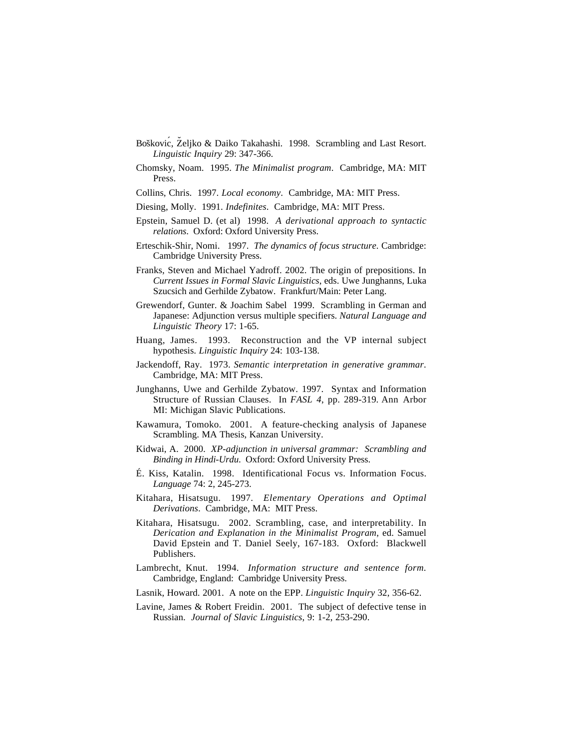- Boškovic, Željko & Daiko Takahashi. 1998. Scrambling and Last Resort. *Linguistic Inquiry* 29: 347-366.
- Chomsky, Noam. 1995. *The Minimalist program*. Cambridge, MA: MIT Press.
- Collins, Chris. 1997. *Local economy*. Cambridge, MA: MIT Press.
- Diesing, Molly. 1991. *Indefinites*. Cambridge, MA: MIT Press.
- Epstein, Samuel D. (et al) 1998. *A derivational approach to syntactic relations*. Oxford: Oxford University Press.
- Erteschik-Shir, Nomi. 1997. *The dynamics of focus structure*. Cambridge: Cambridge University Press.
- Franks, Steven and Michael Yadroff. 2002. The origin of prepositions. In *Current Issues in Formal Slavic Linguistics*, eds. Uwe Junghanns, Luka Szucsich and Gerhilde Zybatow. Frankfurt/Main: Peter Lang.
- Grewendorf, Gunter. & Joachim Sabel 1999. Scrambling in German and Japanese: Adjunction versus multiple specifiers. *Natural Language and Linguistic Theory* 17: 1-65.
- Huang, James. 1993. Reconstruction and the VP internal subject hypothesis. *Linguistic Inquiry* 24: 103-138.
- Jackendoff, Ray. 1973. *Semantic interpretation in generative grammar*. Cambridge, MA: MIT Press.
- Junghanns, Uwe and Gerhilde Zybatow. 1997. Syntax and Information Structure of Russian Clauses. In *FASL 4*, pp. 289-319*.* Ann Arbor MI: Michigan Slavic Publications.
- Kawamura, Tomoko. 2001. A feature-checking analysis of Japanese Scrambling. MA Thesis, Kanzan University.
- Kidwai, A. 2000. *XP-adjunction in universal grammar: Scrambling and Binding in Hindi-Urdu*. Oxford: Oxford University Press.
- É. Kiss, Katalin. 1998. Identificational Focus vs. Information Focus. *Language* 74: 2, 245-273.
- Kitahara, Hisatsugu. 1997. *Elementary Operations and Optimal Derivations*. Cambridge, MA: MIT Press.
- Kitahara, Hisatsugu. 2002. Scrambling, case, and interpretability. In *Derication and Explanation in the Minimalist Program*, ed. Samuel David Epstein and T. Daniel Seely, 167-183. Oxford: Blackwell Publishers.
- Lambrecht, Knut. 1994. *Information structure and sentence form.* Cambridge, England: Cambridge University Press.
- Lasnik, Howard. 2001. A note on the EPP. *Linguistic Inquiry* 32, 356-62.
- Lavine, James & Robert Freidin. 2001. The subject of defective tense in Russian. *Journal of Slavic Linguistics*, 9: 1-2, 253-290.